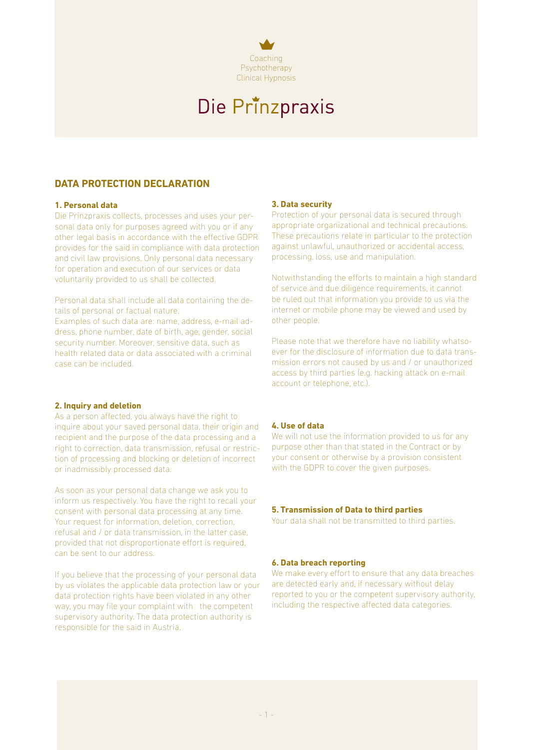

# Die Prinzpraxis

## **DATA PROTECTION DECLARATION**

#### **1. Personal data**

Die Prinzpraxis collects, processes and uses your personal data only for purposes agreed with you or if any other legal basis in accordance with the effective GDPR provides for the said in compliance with data protection and civil law provisions. Only personal data necessary for operation and execution of our services or data voluntarily provided to us shall be collected.

Personal data shall include all data containing the details of personal or factual nature.

Examples of such data are: name, address, e-mail address, phone number, date of birth, age, gender, social security number. Moreover, sensitive data, such as health related data or data associated with a criminal case can be included.

### **2. Inquiry and deletion**

As a person affected, you always have the right to inquire about your saved personal data, their origin and recipient and the purpose of the data processing and a right to correction, data transmission, refusal or restriction of processing and blocking or deletion of incorrect or inadmissibly processed data.

As soon as your personal data change we ask you to inform us respectively. You have the right to recall your consent with personal data processing at any time. Your request for information, deletion, correction, refusal and / or data transmission, in the latter case, provided that not disproportionate effort is required, can be sent to our address.

If you believe that the processing of your personal data by us violates the applicable data protection law or your data protection rights have been violated in any other way, you may file your complaint with the competent supervisory authority. The data protection authority is responsible for the said in Austria.

#### **3. Data security**

Protection of your personal data is secured through appropriate organizational and technical precautions. These precautions relate in particular to the protection against unlawful, unauthorized or accidental access, processing, loss, use and manipulation.

Notwithstanding the efforts to maintain a high standard of service and due diligence requirements, it cannot be ruled out that information you provide to us via the internet or mobile phone may be viewed and used by other people.

Please note that we therefore have no liability whatsoever for the disclosure of information due to data transmission errors not caused by us and / or unauthorized access by third parties (e.g. hacking attack on e-mail account or telephone, etc.).

### **4. Use of data**

We will not use the information provided to us for any purpose other than that stated in the Contract or by your consent or otherwise by a provision consistent with the GDPR to cover the given purposes.

#### **5. Transmission of Data to third parties**

Your data shall not be transmitted to third parties.

#### **6. Data breach reporting**

We make every effort to ensure that any data breaches are detected early and, if necessary without delay reported to you or the competent supervisory authority, including the respective affected data categories.